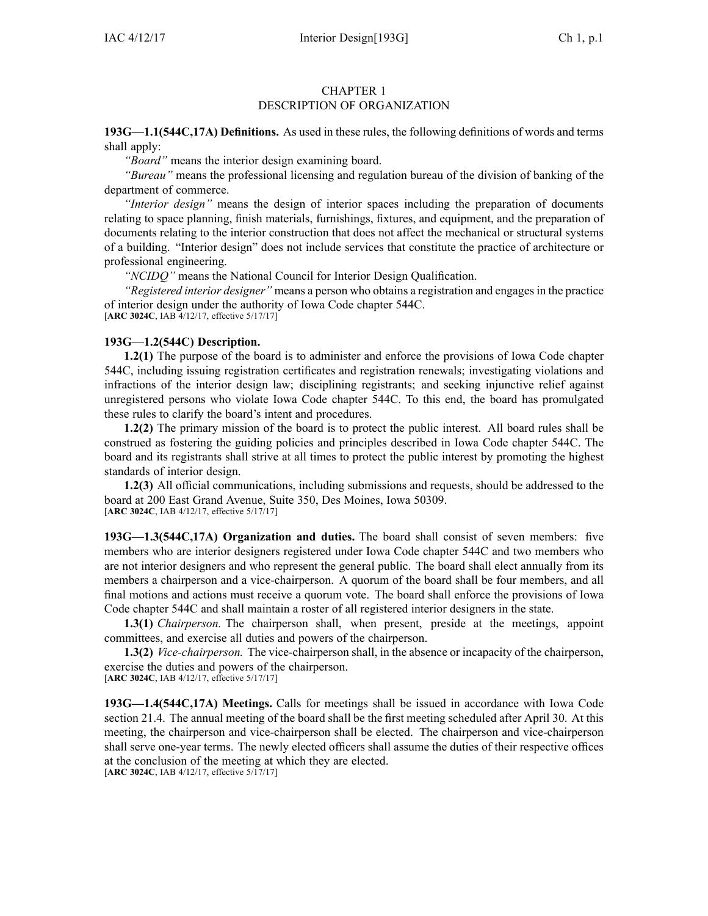### CHAPTER 1

### DESCRIPTION OF ORGANIZATION

**193G—1.1(544C,17A) Definitions.** As used in these rules, the following definitions of words and terms shall apply:

*"Board"* means the interior design examining board.

*"Bureau"* means the professional licensing and regulation bureau of the division of banking of the department of commerce.

*"Interior design"* means the design of interior spaces including the preparation of documents relating to space planning, finish materials, furnishings, fixtures, and equipment, and the preparation of documents relating to the interior construction that does not affect the mechanical or structural systems of <sup>a</sup> building. "Interior design" does not include services that constitute the practice of architecture or professional engineering.

*"NCIDQ"* means the National Council for Interior Design Qualification.

*"Registered interior designer"* means <sup>a</sup> person who obtains <sup>a</sup> registration and engagesin the practice of interior design under the authority of Iowa Code chapter [544C](https://www.legis.iowa.gov/docs/ico/chapter/544C.pdf).

[**ARC [3024C](https://www.legis.iowa.gov/docs/aco/arc/3024C.pdf)**, IAB 4/12/17, effective 5/17/17]

## **193G—1.2(544C) Description.**

**1.2(1)** The purpose of the board is to administer and enforce the provisions of Iowa Code chapter [544C](https://www.legis.iowa.gov/docs/ico/chapter/2017/544C.pdf), including issuing registration certificates and registration renewals; investigating violations and infractions of the interior design law; disciplining registrants; and seeking injunctive relief against unregistered persons who violate Iowa Code chapter [544C](https://www.legis.iowa.gov/docs/ico/chapter/2017/544C.pdf). To this end, the board has promulgated these rules to clarify the board's intent and procedures.

**1.2(2)** The primary mission of the board is to protect the public interest. All board rules shall be construed as fostering the guiding policies and principles described in Iowa Code chapter [544C](https://www.legis.iowa.gov/docs/ico/chapter/2017/544C.pdf). The board and its registrants shall strive at all times to protect the public interest by promoting the highest standards of interior design.

**1.2(3)** All official communications, including submissions and requests, should be addressed to the board at 200 East Grand Avenue, Suite 350, Des Moines, Iowa 50309. [**ARC [3024C](https://www.legis.iowa.gov/docs/aco/arc/3024C.pdf)**, IAB 4/12/17, effective 5/17/17]

**193G—1.3(544C,17A) Organization and duties.** The board shall consist of seven members: five members who are interior designers registered under Iowa Code chapter [544C](https://www.legis.iowa.gov/docs/ico/chapter/2017/544C.pdf) and two members who are not interior designers and who represen<sup>t</sup> the general public. The board shall elect annually from its members <sup>a</sup> chairperson and <sup>a</sup> vice-chairperson. A quorum of the board shall be four members, and all final motions and actions must receive <sup>a</sup> quorum vote. The board shall enforce the provisions of Iowa Code chapter [544C](https://www.legis.iowa.gov/docs/ico/chapter/2017/544C.pdf) and shall maintain <sup>a</sup> roster of all registered interior designers in the state.

**1.3(1)** *Chairperson.* The chairperson shall, when present, preside at the meetings, appoint committees, and exercise all duties and powers of the chairperson.

**1.3(2)** *Vice-chairperson.* The vice-chairperson shall, in the absence or incapacity of the chairperson, exercise the duties and powers of the chairperson. [**ARC [3024C](https://www.legis.iowa.gov/docs/aco/arc/3024C.pdf)**, IAB 4/12/17, effective 5/17/17]

**193G—1.4(544C,17A) Meetings.** Calls for meetings shall be issued in accordance with Iowa Code section [21.4](https://www.legis.iowa.gov/docs/ico/section/2017/21.4.pdf). The annual meeting of the board shall be the first meeting scheduled after April 30. At this meeting, the chairperson and vice-chairperson shall be elected. The chairperson and vice-chairperson shall serve one-year terms. The newly elected officers shall assume the duties of their respective offices at the conclusion of the meeting at which they are elected. [**ARC [3024C](https://www.legis.iowa.gov/docs/aco/arc/3024C.pdf)**, IAB 4/12/17, effective 5/17/17]